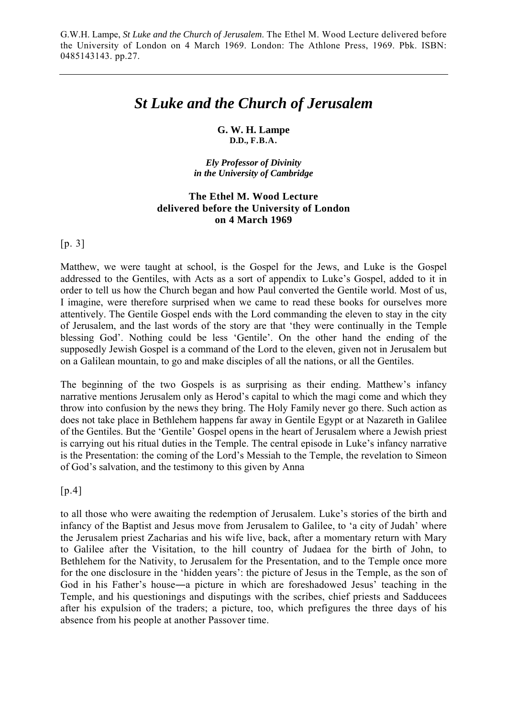# *St Luke and the Church of Jerusalem*

#### **G. W. H. Lampe D.D., F.B.A.**

*Ely Professor of Divinity in the University of Cambridge*

### **The Ethel M. Wood Lecture delivered before the University of London on 4 March 1969**

[p. 3]

Matthew, we were taught at school, is the Gospel for the Jews, and Luke is the Gospel addressed to the Gentiles, with Acts as a sort of appendix to Luke's Gospel, added to it in order to tell us how the Church began and how Paul converted the Gentile world. Most of us, I imagine, were therefore surprised when we came to read these books for ourselves more attentively. The Gentile Gospel ends with the Lord commanding the eleven to stay in the city of Jerusalem, and the last words of the story are that 'they were continually in the Temple blessing God'. Nothing could be less 'Gentile'. On the other hand the ending of the supposedly Jewish Gospel is a command of the Lord to the eleven, given not in Jerusalem but on a Galilean mountain, to go and make disciples of all the nations, or all the Gentiles.

The beginning of the two Gospels is as surprising as their ending. Matthew's infancy narrative mentions Jerusalem only as Herod's capital to which the magi come and which they throw into confusion by the news they bring. The Holy Family never go there. Such action as does not take place in Bethlehem happens far away in Gentile Egypt or at Nazareth in Galilee of the Gentiles. But the 'Gentile' Gospel opens in the heart of Jerusalem where a Jewish priest is carrying out his ritual duties in the Temple. The central episode in Luke's infancy narrative is the Presentation: the coming of the Lord's Messiah to the Temple, the revelation to Simeon of God's salvation, and the testimony to this given by Anna

 $[p.4]$ 

to all those who were awaiting the redemption of Jerusalem. Luke's stories of the birth and infancy of the Baptist and Jesus move from Jerusalem to Galilee, to 'a city of Judah' where the Jerusalem priest Zacharias and his wife live, back, after a momentary return with Mary to Galilee after the Visitation, to the hill country of Judaea for the birth of John, to Bethlehem for the Nativity, to Jerusalem for the Presentation, and to the Temple once more for the one disclosure in the 'hidden years': the picture of Jesus in the Temple, as the son of God in his Father's house―a picture in which are foreshadowed Jesus' teaching in the Temple, and his questionings and disputings with the scribes, chief priests and Sadducees after his expulsion of the traders; a picture, too, which prefigures the three days of his absence from his people at another Passover time.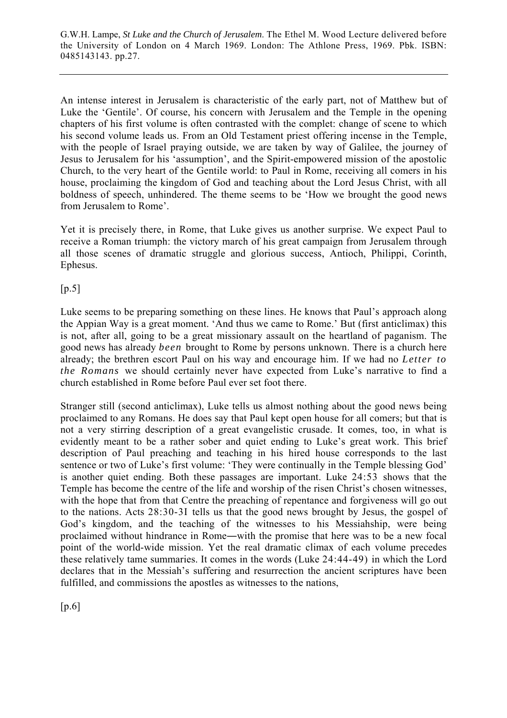An intense interest in Jerusalem is characteristic of the early part, not of Matthew but of Luke the 'Gentile'. Of course, his concern with Jerusalem and the Temple in the opening chapters of his first volume is often contrasted with the complet: change of scene to which his second volume leads us. From an Old Testament priest offering incense in the Temple, with the people of Israel praying outside, we are taken by way of Galilee, the journey of Jesus to Jerusalem for his 'assumption', and the Spirit-empowered mission of the apostolic Church, to the very heart of the Gentile world: to Paul in Rome, receiving all comers in his house, proclaiming the kingdom of God and teaching about the Lord Jesus Christ, with all boldness of speech, unhindered. The theme seems to be 'How we brought the good news from Jerusalem to Rome'.

Yet it is precisely there, in Rome, that Luke gives us another surprise. We expect Paul to receive a Roman triumph: the victory march of his great campaign from Jerusalem through all those scenes of dramatic struggle and glorious success, Antioch, Philippi, Corinth, Ephesus.

[p.5]

Luke seems to be preparing something on these lines. He knows that Paul's approach along the Appian Way is a great moment. 'And thus we came to Rome.' But (first anticlimax) this is not, after all, going to be a great missionary assault on the heartland of paganism. The good news has already *been* brought to Rome by persons unknown. There is a church here already; the brethren escort Paul on his way and encourage him. If we had no *Letter to the Romans* we should certainly never have expected from Luke's narrative to find a church established in Rome before Paul ever set foot there.

Stranger still (second anticlimax), Luke tells us almost nothing about the good news being proclaimed to any Romans. He does say that Paul kept open house for all comers; but that is not a very stirring description of a great evangelistic crusade. It comes, too, in what is evidently meant to be a rather sober and quiet ending to Luke's great work. This brief description of Paul preaching and teaching in his hired house corresponds to the last sentence or two of Luke's first volume: 'They were continually in the Temple blessing God' is another quiet ending. Both these passages are important. Luke 24:53 shows that the Temple has become the centre of the life and worship of the risen Christ's chosen witnesses, with the hope that from that Centre the preaching of repentance and forgiveness will go out to the nations. Acts 28:30-3I tells us that the good news brought by Jesus, the gospel of God's kingdom, and the teaching of the witnesses to his Messiahship, were being proclaimed without hindrance in Rome―with the promise that here was to be a new focal point of the world-wide mission. Yet the real dramatic climax of each volume precedes these relatively tame summaries. It comes in the words (Luke 24:44-49) in which the Lord declares that in the Messiah's suffering and resurrection the ancient scriptures have been fulfilled, and commissions the apostles as witnesses to the nations,

 $[p.6]$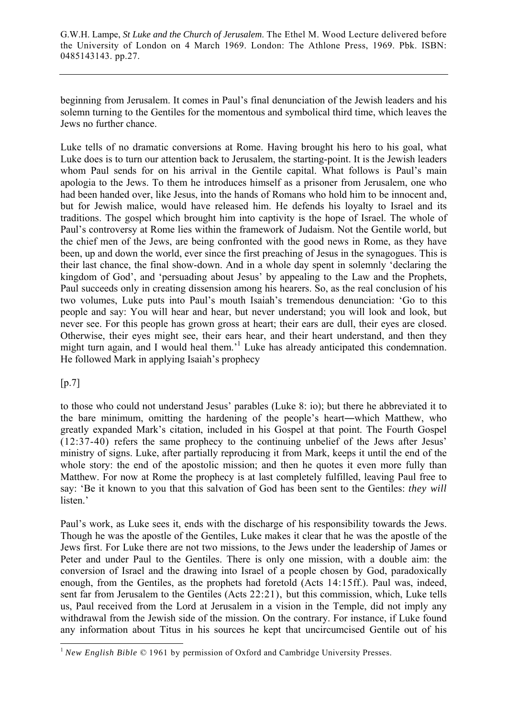beginning from Jerusalem. It comes in Paul's final denunciation of the Jewish leaders and his solemn turning to the Gentiles for the momentous and symbolical third time, which leaves the Jews no further chance.

Luke tells of no dramatic conversions at Rome. Having brought his hero to his goal, what Luke does is to turn our attention back to Jerusalem, the starting-point. It is the Jewish leaders whom Paul sends for on his arrival in the Gentile capital. What follows is Paul's main apologia to the Jews. To them he introduces himself as a prisoner from Jerusalem, one who had been handed over, like Jesus, into the hands of Romans who hold him to be innocent and, but for Jewish malice, would have released him. He defends his loyalty to Israel and its traditions. The gospel which brought him into captivity is the hope of Israel. The whole of Paul's controversy at Rome lies within the framework of Judaism. Not the Gentile world, but the chief men of the Jews, are being confronted with the good news in Rome, as they have been, up and down the world, ever since the first preaching of Jesus in the synagogues. This is their last chance, the final show-down. And in a whole day spent in solemnly 'declaring the kingdom of God', and 'persuading about Jesus' by appealing to the Law and the Prophets, Paul succeeds only in creating dissension among his hearers. So, as the real conclusion of his two volumes, Luke puts into Paul's mouth Isaiah's tremendous denunciation: 'Go to this people and say: You will hear and hear, but never understand; you will look and look, but never see. For this people has grown gross at heart; their ears are dull, their eyes are closed. Otherwise, their eyes might see, their ears hear, and their heart understand, and then they might turn again, and I would heal them.<sup>1</sup> Luke has already anticipated this condemnation. He followed Mark in applying Isaiah's prophecy

## $[p.7]$

to those who could not understand Jesus' parables (Luke 8: io); but there he abbreviated it to the bare minimum, omitting the hardening of the people's heart―which Matthew, who greatly expanded Mark's citation, included in his Gospel at that point. The Fourth Gospel (12:37-40) refers the same prophecy to the continuing unbelief of the Jews after Jesus' ministry of signs. Luke, after partially reproducing it from Mark, keeps it until the end of the whole story: the end of the apostolic mission; and then he quotes it even more fully than Matthew. For now at Rome the prophecy is at last completely fulfilled, leaving Paul free to say: 'Be it known to you that this salvation of God has been sent to the Gentiles: *they will* listen.'

Paul's work, as Luke sees it, ends with the discharge of his responsibility towards the Jews. Though he was the apostle of the Gentiles, Luke makes it clear that he was the apostle of the Jews first. For Luke there are not two missions, to the Jews under the leadership of James or Peter and under Paul to the Gentiles. There is only one mission, with a double aim: the conversion of Israel and the drawing into Israel of a people chosen by God, paradoxically enough, from the Gentiles, as the prophets had foretold (Acts 14:15ff.). Paul was, indeed, sent far from Jerusalem to the Gentiles (Acts 22:21), but this commission, which, Luke tells us, Paul received from the Lord at Jerusalem in a vision in the Temple, did not imply any withdrawal from the Jewish side of the mission. On the contrary. For instance, if Luke found any information about Titus in his sources he kept that uncircumcised Gentile out of his

 $\overline{a}$ <sup>1</sup> *New English Bible* © 1961 by permission of Oxford and Cambridge University Presses.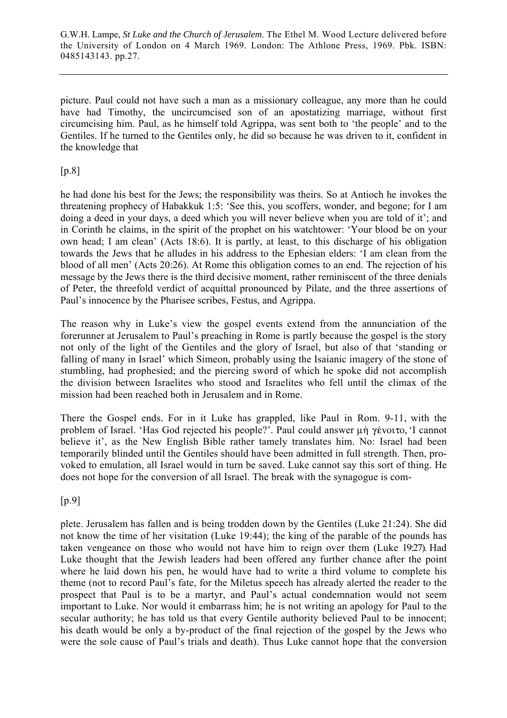picture. Paul could not have such a man as a missionary colleague, any more than he could have had Timothy, the uncircumcised son of an apostatizing marriage, without first circumcising him. Paul, as he himself told Agrippa, was sent both to 'the people' and to the Gentiles. If he turned to the Gentiles only, he did so because he was driven to it, confident in the knowledge that

[p.8]

he had done his best for the Jews; the responsibility was theirs. So at Antioch he invokes the threatening prophecy of Habakkuk 1:5: 'See this, you scoffers, wonder, and begone; for I am doing a deed in your days, a deed which you will never believe when you are told of it'; and in Corinth he claims, in the spirit of the prophet on his watchtower: 'Your blood be on your own head; I am clean' (Acts 18:6). It is partly, at least, to this discharge of his obligation towards the Jews that he alludes in his address to the Ephesian elders: 'I am clean from the blood of all men' (Acts 20:26). At Rome this obligation comes to an end. The rejection of his message by the Jews there is the third decisive moment, rather reminiscent of the three denials of Peter, the threefold verdict of acquittal pronounced by Pilate, and the three assertions of Paul's innocence by the Pharisee scribes, Festus, and Agrippa.

The reason why in Luke's view the gospel events extend from the annunciation of the forerunner at Jerusalem to Paul's preaching in Rome is partly because the gospel is the story not only of the light of the Gentiles and the glory of Israel, but also of that 'standing or falling of many in Israel' which Simeon, probably using the Isaianic imagery of the stone of stumbling, had prophesied; and the piercing sword of which he spoke did not accomplish the division between Israelites who stood and Israelites who fell until the climax of the mission had been reached both in Jerusalem and in Rome.

There the Gospel ends. For in it Luke has grappled, like Paul in Rom. 9-11, with the problem of Israel. 'Has God rejected his people?'. Paul could answer  $\mu \dot{\eta}$   $\gamma \dot{\epsilon}$  vouto, 'I cannot believe it', as the New English Bible rather tamely translates him. No: Israel had been temporarily blinded until the Gentiles should have been admitted in full strength. Then, provoked to emulation, all Israel would in turn be saved. Luke cannot say this sort of thing. He does not hope for the conversion of all Israel. The break with the synagogue is com-

[p.9]

plete. Jerusalem has fallen and is being trodden down by the Gentiles (Luke 21:24). She did not know the time of her visitation (Luke 19:44); the king of the parable of the pounds has taken vengeance on those who would not have him to reign over them (Luke 19:27). Had Luke thought that the Jewish leaders had been offered any further chance after the point where he laid down his pen, he would have had to write a third volume to complete his theme (not to record Paul's fate, for the Miletus speech has already alerted the reader to the prospect that Paul is to be a martyr, and Paul's actual condemnation would not seem important to Luke. Nor would it embarrass him; he is not writing an apology for Paul to the secular authority; he has told us that every Gentile authority believed Paul to be innocent; his death would be only a by-product of the final rejection of the gospel by the Jews who were the sole cause of Paul's trials and death). Thus Luke cannot hope that the conversion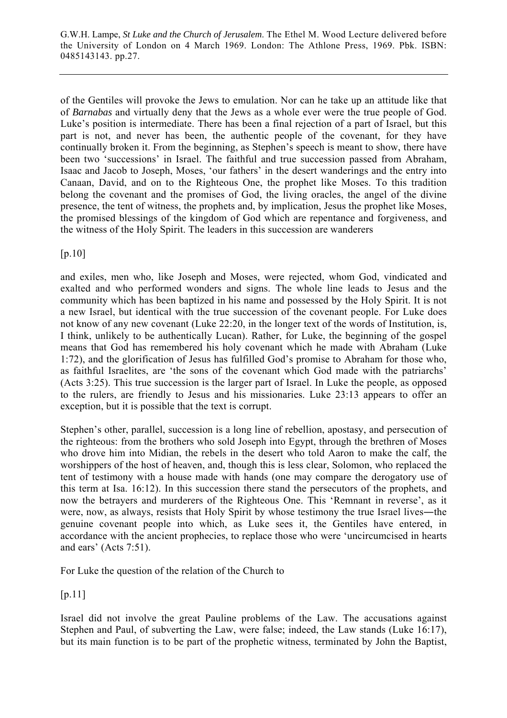of the Gentiles will provoke the Jews to emulation. Nor can he take up an attitude like that of *Barnabas* and virtually deny that the Jews as a whole ever were the true people of God. Luke's position is intermediate. There has been a final rejection of a part of Israel, but this part is not, and never has been, the authentic people of the covenant, for they have continually broken it. From the beginning, as Stephen's speech is meant to show, there have been two 'successions' in Israel. The faithful and true succession passed from Abraham, Isaac and Jacob to Joseph, Moses, 'our fathers' in the desert wanderings and the entry into Canaan, David, and on to the Righteous One, the prophet like Moses. To this tradition belong the covenant and the promises of God, the living oracles, the angel of the divine presence, the tent of witness, the prophets and, by implication, Jesus the prophet like Moses, the promised blessings of the kingdom of God which are repentance and forgiveness, and the witness of the Holy Spirit. The leaders in this succession are wanderers

 $[p.10]$ 

and exiles, men who, like Joseph and Moses, were rejected, whom God, vindicated and exalted and who performed wonders and signs. The whole line leads to Jesus and the community which has been baptized in his name and possessed by the Holy Spirit. It is not a new Israel, but identical with the true succession of the covenant people. For Luke does not know of any new covenant (Luke 22:20, in the longer text of the words of Institution, is, I think, unlikely to be authentically Lucan). Rather, for Luke, the beginning of the gospel means that God has remembered his holy covenant which he made with Abraham (Luke 1:72), and the glorification of Jesus has fulfilled God's promise to Abraham for those who, as faithful Israelites, are 'the sons of the covenant which God made with the patriarchs' (Acts 3:25). This true succession is the larger part of Israel. In Luke the people, as opposed to the rulers, are friendly to Jesus and his missionaries. Luke 23:13 appears to offer an exception, but it is possible that the text is corrupt.

Stephen's other, parallel, succession is a long line of rebellion, apostasy, and persecution of the righteous: from the brothers who sold Joseph into Egypt, through the brethren of Moses who drove him into Midian, the rebels in the desert who told Aaron to make the calf, the worshippers of the host of heaven, and, though this is less clear, Solomon, who replaced the tent of testimony with a house made with hands (one may compare the derogatory use of this term at Isa. 16:12). In this succession there stand the persecutors of the prophets, and now the betrayers and murderers of the Righteous One. This 'Remnant in reverse', as it were, now, as always, resists that Holy Spirit by whose testimony the true Israel lives—the genuine covenant people into which, as Luke sees it, the Gentiles have entered, in accordance with the ancient prophecies, to replace those who were 'uncircumcised in hearts and ears' (Acts 7:51).

For Luke the question of the relation of the Church to

[p.11]

Israel did not involve the great Pauline problems of the Law. The accusations against Stephen and Paul, of subverting the Law, were false; indeed, the Law stands (Luke 16:17), but its main function is to be part of the prophetic witness, terminated by John the Baptist,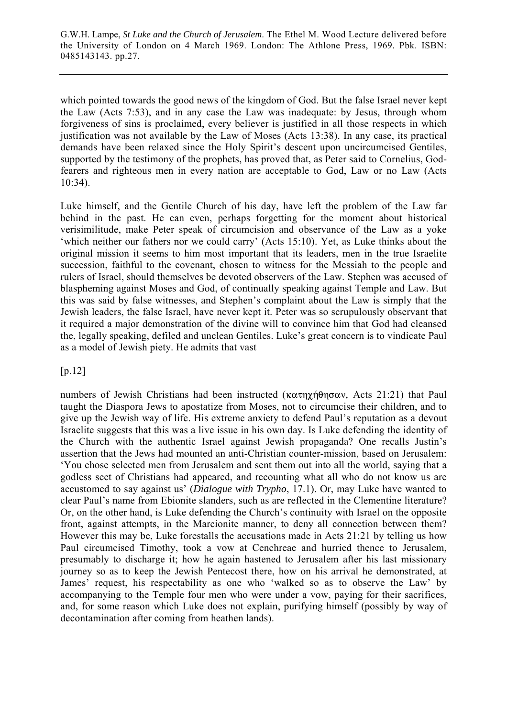which pointed towards the good news of the kingdom of God. But the false Israel never kept the Law (Acts 7:53), and in any case the Law was inadequate: by Jesus, through whom forgiveness of sins is proclaimed, every believer is justified in all those respects in which justification was not available by the Law of Moses (Acts 13:38). In any case, its practical demands have been relaxed since the Holy Spirit's descent upon uncircumcised Gentiles, supported by the testimony of the prophets, has proved that, as Peter said to Cornelius, Godfearers and righteous men in every nation are acceptable to God, Law or no Law (Acts 10:34).

Luke himself, and the Gentile Church of his day, have left the problem of the Law far behind in the past. He can even, perhaps forgetting for the moment about historical verisimilitude, make Peter speak of circumcision and observance of the Law as a yoke 'which neither our fathers nor we could carry' (Acts 15:10). Yet, as Luke thinks about the original mission it seems to him most important that its leaders, men in the true Israelite succession, faithful to the covenant, chosen to witness for the Messiah to the people and rulers of Israel, should themselves be devoted observers of the Law. Stephen was accused of blaspheming against Moses and God, of continually speaking against Temple and Law. But this was said by false witnesses, and Stephen's complaint about the Law is simply that the Jewish leaders, the false Israel, have never kept it. Peter was so scrupulously observant that it required a major demonstration of the divine will to convince him that God had cleansed the, legally speaking, defiled and unclean Gentiles. Luke's great concern is to vindicate Paul as a model of Jewish piety. He admits that vast

 $[p.12]$ 

numbers of Jewish Christians had been instructed ( $\kappa \alpha \tau \eta \chi \eta \theta \eta \sigma \alpha v$ , Acts 21:21) that Paul taught the Diaspora Jews to apostatize from Moses, not to circumcise their children, and to give up the Jewish way of life. His extreme anxiety to defend Paul's reputation as a devout Israelite suggests that this was a live issue in his own day. Is Luke defending the identity of the Church with the authentic Israel against Jewish propaganda? One recalls Justin's assertion that the Jews had mounted an anti-Christian counter-mission, based on Jerusalem: 'You chose selected men from Jerusalem and sent them out into all the world, saying that a godless sect of Christians had appeared, and recounting what all who do not know us are accustomed to say against us' (*Dialogue with Trypho*, 17.1). Or, may Luke have wanted to clear Paul's name from Ebionite slanders, such as are reflected in the Clementine literature? Or, on the other hand, is Luke defending the Church's continuity with Israel on the opposite front, against attempts, in the Marcionite manner, to deny all connection between them? However this may be, Luke forestalls the accusations made in Acts 21:21 by telling us how Paul circumcised Timothy, took a vow at Cenchreae and hurried thence to Jerusalem, presumably to discharge it; how he again hastened to Jerusalem after his last missionary journey so as to keep the Jewish Pentecost there, how on his arrival he demonstrated, at James' request, his respectability as one who 'walked so as to observe the Law' by accompanying to the Temple four men who were under a vow, paying for their sacrifices, and, for some reason which Luke does not explain, purifying himself (possibly by way of decontamination after coming from heathen lands).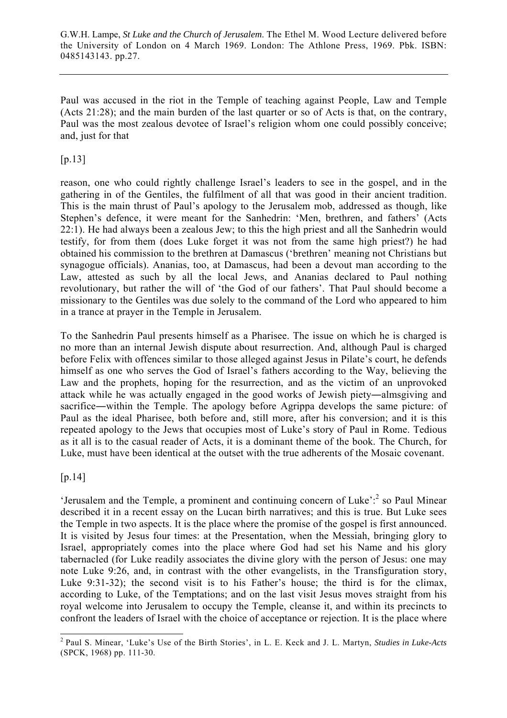Paul was accused in the riot in the Temple of teaching against People, Law and Temple (Acts 21:28); and the main burden of the last quarter or so of Acts is that, on the contrary, Paul was the most zealous devotee of Israel's religion whom one could possibly conceive; and, just for that

[p.13]

reason, one who could rightly challenge Israel's leaders to see in the gospel, and in the gathering in of the Gentiles, the fulfilment of all that was good in their ancient tradition. This is the main thrust of Paul's apology to the Jerusalem mob, addressed as though, like Stephen's defence, it were meant for the Sanhedrin: 'Men, brethren, and fathers' (Acts 22:1). He had always been a zealous Jew; to this the high priest and all the Sanhedrin would testify, for from them (does Luke forget it was not from the same high priest?) he had obtained his commission to the brethren at Damascus ('brethren' meaning not Christians but synagogue officials). Ananias, too, at Damascus, had been a devout man according to the Law, attested as such by all the local Jews, and Ananias declared to Paul nothing revolutionary, but rather the will of 'the God of our fathers'. That Paul should become a missionary to the Gentiles was due solely to the command of the Lord who appeared to him in a trance at prayer in the Temple in Jerusalem.

To the Sanhedrin Paul presents himself as a Pharisee. The issue on which he is charged is no more than an internal Jewish dispute about resurrection. And, although Paul is charged before Felix with offences similar to those alleged against Jesus in Pilate's court, he defends himself as one who serves the God of Israel's fathers according to the Way, believing the Law and the prophets, hoping for the resurrection, and as the victim of an unprovoked attack while he was actually engaged in the good works of Jewish piety―almsgiving and sacrifice―within the Temple. The apology before Agrippa develops the same picture: of Paul as the ideal Pharisee, both before and, still more, after his conversion; and it is this repeated apology to the Jews that occupies most of Luke's story of Paul in Rome. Tedious as it all is to the casual reader of Acts, it is a dominant theme of the book. The Church, for Luke, must have been identical at the outset with the true adherents of the Mosaic covenant.

[p.14]

'Jerusalem and the Temple, a prominent and continuing concern of Luke': $^2$  so Paul Minear described it in a recent essay on the Lucan birth narratives; and this is true. But Luke sees the Temple in two aspects. It is the place where the promise of the gospel is first announced. It is visited by Jesus four times: at the Presentation, when the Messiah, bringing glory to Israel, appropriately comes into the place where God had set his Name and his glory tabernacled (for Luke readily associates the divine glory with the person of Jesus: one may note Luke 9:26, and, in contrast with the other evangelists, in the Transfiguration story, Luke 9:31-32); the second visit is to his Father's house; the third is for the climax, according to Luke, of the Temptations; and on the last visit Jesus moves straight from his royal welcome into Jerusalem to occupy the Temple, cleanse it, and within its precincts to confront the leaders of Israel with the choice of acceptance or rejection. It is the place where

 2 Paul S. Minear, 'Luke's Use of the Birth Stories', in L. E. Keck and J. L. Martyn, *Studies in Luke-Acts* (SPCK, 1968) pp. 111-30.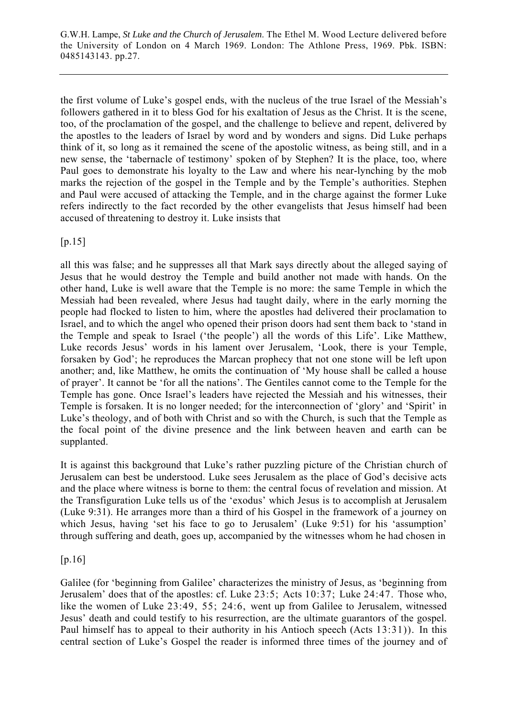the first volume of Luke's gospel ends, with the nucleus of the true Israel of the Messiah's followers gathered in it to bless God for his exaltation of Jesus as the Christ. It is the scene, too, of the proclamation of the gospel, and the challenge to believe and repent, delivered by the apostles to the leaders of Israel by word and by wonders and signs. Did Luke perhaps think of it, so long as it remained the scene of the apostolic witness, as being still, and in a new sense, the 'tabernacle of testimony' spoken of by Stephen? It is the place, too, where Paul goes to demonstrate his loyalty to the Law and where his near-lynching by the mob marks the rejection of the gospel in the Temple and by the Temple's authorities. Stephen and Paul were accused of attacking the Temple, and in the charge against the former Luke refers indirectly to the fact recorded by the other evangelists that Jesus himself had been accused of threatening to destroy it. Luke insists that

[p.15]

all this was false; and he suppresses all that Mark says directly about the alleged saying of Jesus that he would destroy the Temple and build another not made with hands. On the other hand, Luke is well aware that the Temple is no more: the same Temple in which the Messiah had been revealed, where Jesus had taught daily, where in the early morning the people had flocked to listen to him, where the apostles had delivered their proclamation to Israel, and to which the angel who opened their prison doors had sent them back to 'stand in the Temple and speak to Israel ('the people') all the words of this Life'. Like Matthew, Luke records Jesus' words in his lament over Jerusalem, 'Look, there is your Temple, forsaken by God'; he reproduces the Marcan prophecy that not one stone will be left upon another; and, like Matthew, he omits the continuation of 'My house shall be called a house of prayer'. It cannot be 'for all the nations'. The Gentiles cannot come to the Temple for the Temple has gone. Once Israel's leaders have rejected the Messiah and his witnesses, their Temple is forsaken. It is no longer needed; for the interconnection of 'glory' and 'Spirit' in Luke's theology, and of both with Christ and so with the Church, is such that the Temple as the focal point of the divine presence and the link between heaven and earth can be supplanted.

It is against this background that Luke's rather puzzling picture of the Christian church of Jerusalem can best be understood. Luke sees Jerusalem as the place of God's decisive acts and the place where witness is borne to them: the central focus of revelation and mission. At the Transfiguration Luke tells us of the 'exodus' which Jesus is to accomplish at Jerusalem (Luke 9:31). He arranges more than a third of his Gospel in the framework of a journey on which Jesus, having 'set his face to go to Jerusalem' (Luke 9:51) for his 'assumption' through suffering and death, goes up, accompanied by the witnesses whom he had chosen in

## [p.16]

Galilee (for 'beginning from Galilee' characterizes the ministry of Jesus, as 'beginning from Jerusalem' does that of the apostles: cf. Luke 23:5; Acts 10:37; Luke 24:47. Those who, like the women of Luke 23:49, 55; 24:6, went up from Galilee to Jerusalem, witnessed Jesus' death and could testify to his resurrection, are the ultimate guarantors of the gospel. Paul himself has to appeal to their authority in his Antioch speech (Acts 13:31)). In this central section of Luke's Gospel the reader is informed three times of the journey and of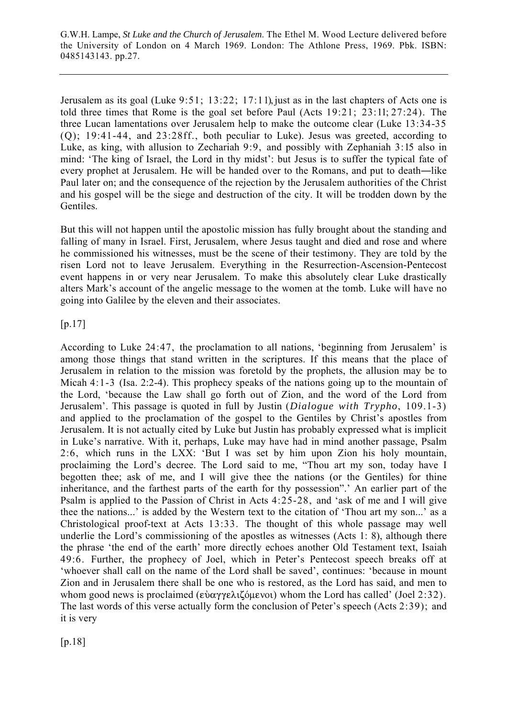Jerusalem as its goal (Luke 9:51; 13:22; 17:11), just as in the last chapters of Acts one is told three times that Rome is the goal set before Paul (Acts 19:21; 23:11; 27:24). The three Lucan lamentations over Jerusalem help to make the outcome clear (Luke 13:34-35 (Q); 19:41-44, and 23:28ff., both peculiar to Luke). Jesus was greeted, according to Luke, as king, with allusion to Zechariah 9:9, and possibly with Zephaniah 3:15 also in mind: 'The king of Israel, the Lord in thy midst': but Jesus is to suffer the typical fate of every prophet at Jerusalem. He will be handed over to the Romans, and put to death―like Paul later on; and the consequence of the rejection by the Jerusalem authorities of the Christ and his gospel will be the siege and destruction of the city. It will be trodden down by the Gentiles.

But this will not happen until the apostolic mission has fully brought about the standing and falling of many in Israel. First, Jerusalem, where Jesus taught and died and rose and where he commissioned his witnesses, must be the scene of their testimony. They are told by the risen Lord not to leave Jerusalem. Everything in the Resurrection-Ascension-Pentecost event happens in or very near Jerusalem. To make this absolutely clear Luke drastically alters Mark's account of the angelic message to the women at the tomb. Luke will have no going into Galilee by the eleven and their associates.

 $[p.17]$ 

According to Luke 24:47, the proclamation to all nations, 'beginning from Jerusalem' is among those things that stand written in the scriptures. If this means that the place of Jerusalem in relation to the mission was foretold by the prophets, the allusion may be to Micah 4:1-3 (Isa. 2:2-4). This prophecy speaks of the nations going up to the mountain of the Lord, 'because the Law shall go forth out of Zion, and the word of the Lord from Jerusalem'. This passage is quoted in full by Justin (*Dialogue with Trypho*, 109.1-3) and applied to the proclamation of the gospel to the Gentiles by Christ's apostles from Jerusalem. It is not actually cited by Luke but Justin has probably expressed what is implicit in Luke's narrative. With it, perhaps, Luke may have had in mind another passage, Psalm 2:6, which runs in the LXX: 'But I was set by him upon Zion his holy mountain, proclaiming the Lord's decree. The Lord said to me, "Thou art my son, today have I begotten thee; ask of me, and I will give thee the nations (or the Gentiles) for thine inheritance, and the farthest parts of the earth for thy possession".' An earlier part of the Psalm is applied to the Passion of Christ in Acts 4:25-28, and 'ask of me and I will give thee the nations...' is added by the Western text to the citation of 'Thou art my son...' as a Christological proof-text at Acts 13:33. The thought of this whole passage may well underlie the Lord's commissioning of the apostles as witnesses (Acts 1: 8), although there the phrase 'the end of the earth' more directly echoes another Old Testament text, Isaiah 49:6. Further, the prophecy of Joel, which in Peter's Pentecost speech breaks off at 'whoever shall call on the name of the Lord shall be saved', continues: 'because in mount Zion and in Jerusalem there shall be one who is restored, as the Lord has said, and men to whom good news is proclaimed ( $\varepsilon \dot{\nu} \alpha \gamma \varepsilon \lambda \iota \zeta \omega \varepsilon \nu \omega$ ) whom the Lord has called' (Joel 2:32). The last words of this verse actually form the conclusion of Peter's speech (Acts 2:39); and it is very

[p.18]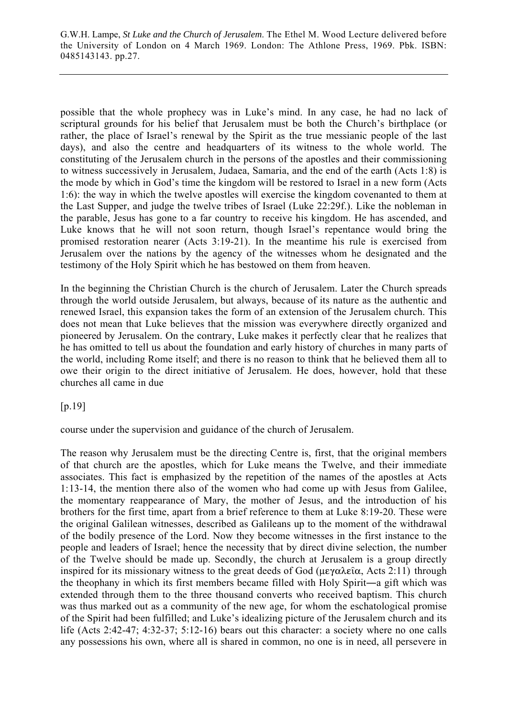possible that the whole prophecy was in Luke's mind. In any case, he had no lack of scriptural grounds for his belief that Jerusalem must be both the Church's birthplace (or rather, the place of Israel's renewal by the Spirit as the true messianic people of the last days), and also the centre and headquarters of its witness to the whole world. The constituting of the Jerusalem church in the persons of the apostles and their commissioning to witness successively in Jerusalem, Judaea, Samaria, and the end of the earth (Acts 1:8) is the mode by which in God's time the kingdom will be restored to Israel in a new form (Acts 1:6): the way in which the twelve apostles will exercise the kingdom covenanted to them at the Last Supper, and judge the twelve tribes of Israel (Luke 22:29f.). Like the nobleman in the parable, Jesus has gone to a far country to receive his kingdom. He has ascended, and Luke knows that he will not soon return, though Israel's repentance would bring the promised restoration nearer (Acts 3:19-21). In the meantime his rule is exercised from Jerusalem over the nations by the agency of the witnesses whom he designated and the testimony of the Holy Spirit which he has bestowed on them from heaven.

In the beginning the Christian Church is the church of Jerusalem. Later the Church spreads through the world outside Jerusalem, but always, because of its nature as the authentic and renewed Israel, this expansion takes the form of an extension of the Jerusalem church. This does not mean that Luke believes that the mission was everywhere directly organized and pioneered by Jerusalem. On the contrary, Luke makes it perfectly clear that he realizes that he has omitted to tell us about the foundation and early history of churches in many parts of the world, including Rome itself; and there is no reason to think that he believed them all to owe their origin to the direct initiative of Jerusalem. He does, however, hold that these churches all came in due

[p.19]

course under the supervision and guidance of the church of Jerusalem.

The reason why Jerusalem must be the directing Centre is, first, that the original members of that church are the apostles, which for Luke means the Twelve, and their immediate associates. This fact is emphasized by the repetition of the names of the apostles at Acts 1:13-14, the mention there also of the women who had come up with Jesus from Galilee, the momentary reappearance of Mary, the mother of Jesus, and the introduction of his brothers for the first time, apart from a brief reference to them at Luke 8:19-20. These were the original Galilean witnesses, described as Galileans up to the moment of the withdrawal of the bodily presence of the Lord. Now they become witnesses in the first instance to the people and leaders of Israel; hence the necessity that by direct divine selection, the number of the Twelve should be made up. Secondly, the church at Jerusalem is a group directly inspired for its missionary witness to the great deeds of God ( $\mu \epsilon \gamma \alpha \lambda \epsilon \hat{\alpha}$ , Acts 2:11) through the theophany in which its first members became filled with Holy Spirit―a gift which was extended through them to the three thousand converts who received baptism. This church was thus marked out as a community of the new age, for whom the eschatological promise of the Spirit had been fulfilled; and Luke's idealizing picture of the Jerusalem church and its life (Acts 2:42-47; 4:32-37; 5:12-16) bears out this character: a society where no one calls any possessions his own, where all is shared in common, no one is in need, all persevere in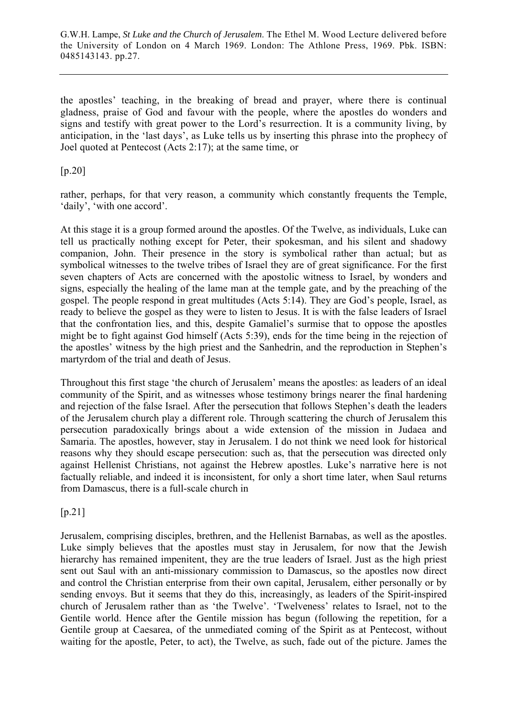the apostles' teaching, in the breaking of bread and prayer, where there is continual gladness, praise of God and favour with the people, where the apostles do wonders and signs and testify with great power to the Lord's resurrection. It is a community living, by anticipation, in the 'last days', as Luke tells us by inserting this phrase into the prophecy of Joel quoted at Pentecost (Acts 2:17); at the same time, or

[p.20]

rather, perhaps, for that very reason, a community which constantly frequents the Temple, 'daily', 'with one accord'.

At this stage it is a group formed around the apostles. Of the Twelve, as individuals, Luke can tell us practically nothing except for Peter, their spokesman, and his silent and shadowy companion, John. Their presence in the story is symbolical rather than actual; but as symbolical witnesses to the twelve tribes of Israel they are of great significance. For the first seven chapters of Acts are concerned with the apostolic witness to Israel, by wonders and signs, especially the healing of the lame man at the temple gate, and by the preaching of the gospel. The people respond in great multitudes (Acts 5:14). They are God's people, Israel, as ready to believe the gospel as they were to listen to Jesus. It is with the false leaders of Israel that the confrontation lies, and this, despite Gamaliel's surmise that to oppose the apostles might be to fight against God himself (Acts 5:39), ends for the time being in the rejection of the apostles' witness by the high priest and the Sanhedrin, and the reproduction in Stephen's martyrdom of the trial and death of Jesus.

Throughout this first stage 'the church of Jerusalem' means the apostles: as leaders of an ideal community of the Spirit, and as witnesses whose testimony brings nearer the final hardening and rejection of the false Israel. After the persecution that follows Stephen's death the leaders of the Jerusalem church play a different role. Through scattering the church of Jerusalem this persecution paradoxically brings about a wide extension of the mission in Judaea and Samaria. The apostles, however, stay in Jerusalem. I do not think we need look for historical reasons why they should escape persecution: such as, that the persecution was directed only against Hellenist Christians, not against the Hebrew apostles. Luke's narrative here is not factually reliable, and indeed it is inconsistent, for only a short time later, when Saul returns from Damascus, there is a full-scale church in

 $[p.21]$ 

Jerusalem, comprising disciples, brethren, and the Hellenist Barnabas, as well as the apostles. Luke simply believes that the apostles must stay in Jerusalem, for now that the Jewish hierarchy has remained impenitent, they are the true leaders of Israel. Just as the high priest sent out Saul with an anti-missionary commission to Damascus, so the apostles now direct and control the Christian enterprise from their own capital, Jerusalem, either personally or by sending envoys. But it seems that they do this, increasingly, as leaders of the Spirit-inspired church of Jerusalem rather than as 'the Twelve'. 'Twelveness' relates to Israel, not to the Gentile world. Hence after the Gentile mission has begun (following the repetition, for a Gentile group at Caesarea, of the unmediated coming of the Spirit as at Pentecost, without waiting for the apostle, Peter, to act), the Twelve, as such, fade out of the picture. James the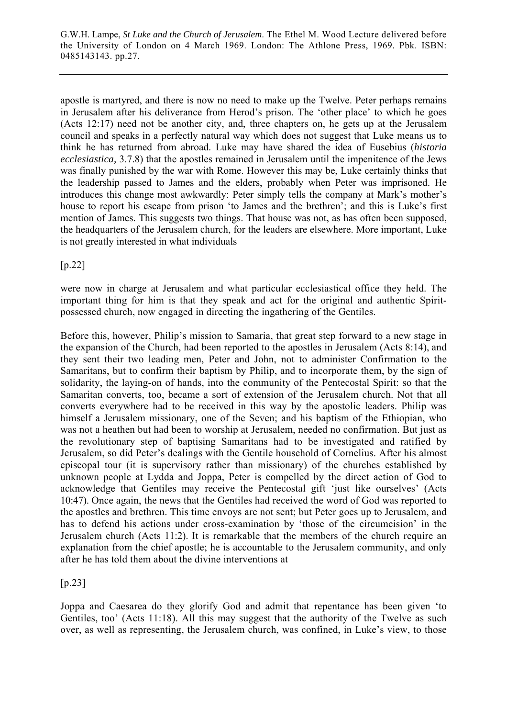apostle is martyred, and there is now no need to make up the Twelve. Peter perhaps remains in Jerusalem after his deliverance from Herod's prison. The 'other place' to which he goes (Acts 12:17) need not be another city, and, three chapters on, he gets up at the Jerusalem council and speaks in a perfectly natural way which does not suggest that Luke means us to think he has returned from abroad. Luke may have shared the idea of Eusebius (*historia ecclesiastica,* 3.7.8) that the apostles remained in Jerusalem until the impenitence of the Jews was finally punished by the war with Rome. However this may be, Luke certainly thinks that the leadership passed to James and the elders, probably when Peter was imprisoned. He introduces this change most awkwardly: Peter simply tells the company at Mark's mother's house to report his escape from prison 'to James and the brethren'; and this is Luke's first mention of James. This suggests two things. That house was not, as has often been supposed, the headquarters of the Jerusalem church, for the leaders are elsewhere. More important, Luke is not greatly interested in what individuals

[p.22]

were now in charge at Jerusalem and what particular ecclesiastical office they held. The important thing for him is that they speak and act for the original and authentic Spiritpossessed church, now engaged in directing the ingathering of the Gentiles.

Before this, however, Philip's mission to Samaria, that great step forward to a new stage in the expansion of the Church, had been reported to the apostles in Jerusalem (Acts 8:14), and they sent their two leading men, Peter and John, not to administer Confirmation to the Samaritans, but to confirm their baptism by Philip, and to incorporate them, by the sign of solidarity, the laying-on of hands, into the community of the Pentecostal Spirit: so that the Samaritan converts, too, became a sort of extension of the Jerusalem church. Not that all converts everywhere had to be received in this way by the apostolic leaders. Philip was himself a Jerusalem missionary, one of the Seven; and his baptism of the Ethiopian, who was not a heathen but had been to worship at Jerusalem, needed no confirmation. But just as the revolutionary step of baptising Samaritans had to be investigated and ratified by Jerusalem, so did Peter's dealings with the Gentile household of Cornelius. After his almost episcopal tour (it is supervisory rather than missionary) of the churches established by unknown people at Lydda and Joppa, Peter is compelled by the direct action of God to acknowledge that Gentiles may receive the Pentecostal gift 'just like ourselves' (Acts 10:47). Once again, the news that the Gentiles had received the word of God was reported to the apostles and brethren. This time envoys are not sent; but Peter goes up to Jerusalem, and has to defend his actions under cross-examination by 'those of the circumcision' in the Jerusalem church (Acts 11:2). It is remarkable that the members of the church require an explanation from the chief apostle; he is accountable to the Jerusalem community, and only after he has told them about the divine interventions at

[p.23]

Joppa and Caesarea do they glorify God and admit that repentance has been given 'to Gentiles, too' (Acts 11:18). All this may suggest that the authority of the Twelve as such over, as well as representing, the Jerusalem church, was confined, in Luke's view, to those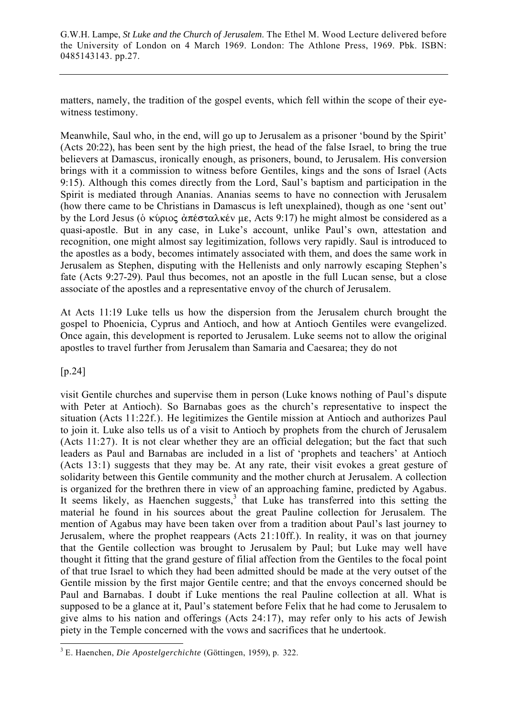matters, namely, the tradition of the gospel events, which fell within the scope of their eyewitness testimony.

Meanwhile, Saul who, in the end, will go up to Jerusalem as a prisoner 'bound by the Spirit' (Acts 20:22), has been sent by the high priest, the head of the false Israel, to bring the true believers at Damascus, ironically enough, as prisoners, bound, to Jerusalem. His conversion brings with it a commission to witness before Gentiles, kings and the sons of Israel (Acts 9:15). Although this comes directly from the Lord, Saul's baptism and participation in the Spirit is mediated through Ananias. Ananias seems to have no connection with Jerusalem (how there came to be Christians in Damascus is left unexplained), though as one 'sent out' by the Lord Jesus ( $\delta$  κύριος άπέσταλκέν με, Acts 9:17) he might almost be considered as a quasi-apostle. But in any case, in Luke's account, unlike Paul's own, attestation and recognition, one might almost say legitimization, follows very rapidly. Saul is introduced to the apostles as a body, becomes intimately associated with them, and does the same work in Jerusalem as Stephen, disputing with the Hellenists and only narrowly escaping Stephen's fate (Acts 9:27-29). Paul thus becomes, not an apostle in the full Lucan sense, but a close associate of the apostles and a representative envoy of the church of Jerusalem.

At Acts 11:19 Luke tells us how the dispersion from the Jerusalem church brought the gospel to Phoenicia, Cyprus and Antioch, and how at Antioch Gentiles were evangelized. Once again, this development is reported to Jerusalem. Luke seems not to allow the original apostles to travel further from Jerusalem than Samaria and Caesarea; they do not

[p.24]

visit Gentile churches and supervise them in person (Luke knows nothing of Paul's dispute with Peter at Antioch). So Barnabas goes as the church's representative to inspect the situation (Acts 11:22f.). He legitimizes the Gentile mission at Antioch and authorizes Paul to join it. Luke also tells us of a visit to Antioch by prophets from the church of Jerusalem (Acts 11:27). It is not clear whether they are an official delegation; but the fact that such leaders as Paul and Barnabas are included in a list of 'prophets and teachers' at Antioch (Acts 13:1) suggests that they may be. At any rate, their visit evokes a great gesture of solidarity between this Gentile community and the mother church at Jerusalem. A collection is organized for the brethren there in view of an approaching famine, predicted by Agabus. It seems likely, as Haenchen suggests,<sup>3</sup> that Luke has transferred into this setting the material he found in his sources about the great Pauline collection for Jerusalem. The mention of Agabus may have been taken over from a tradition about Paul's last journey to Jerusalem, where the prophet reappears (Acts 21:10ff.). In reality, it was on that journey that the Gentile collection was brought to Jerusalem by Paul; but Luke may well have thought it fitting that the grand gesture of filial affection from the Gentiles to the focal point of that true Israel to which they had been admitted should be made at the very outset of the Gentile mission by the first major Gentile centre; and that the envoys concerned should be Paul and Barnabas. I doubt if Luke mentions the real Pauline collection at all. What is supposed to be a glance at it, Paul's statement before Felix that he had come to Jerusalem to give alms to his nation and offerings (Acts 24:17), may refer only to his acts of Jewish piety in the Temple concerned with the vows and sacrifices that he undertook.

 3 E. Haenchen, *Die Apostelgerchichte* (Göttingen, 1959), p. 322.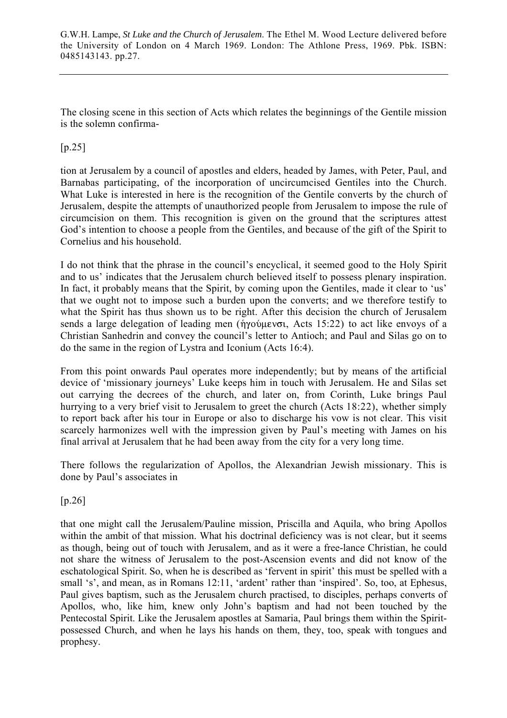The closing scene in this section of Acts which relates the beginnings of the Gentile mission is the solemn confirma-

 $[p.25]$ 

tion at Jerusalem by a council of apostles and elders, headed by James, with Peter, Paul, and Barnabas participating, of the incorporation of uncircumcised Gentiles into the Church. What Luke is interested in here is the recognition of the Gentile converts by the church of Jerusalem, despite the attempts of unauthorized people from Jerusalem to impose the rule of circumcision on them. This recognition is given on the ground that the scriptures attest God's intention to choose a people from the Gentiles, and because of the gift of the Spirit to Cornelius and his household.

I do not think that the phrase in the council's encyclical, it seemed good to the Holy Spirit and to us' indicates that the Jerusalem church believed itself to possess plenary inspiration. In fact, it probably means that the Spirit, by coming upon the Gentiles, made it clear to 'us' that we ought not to impose such a burden upon the converts; and we therefore testify to what the Spirit has thus shown us to be right. After this decision the church of Jerusalem sends a large delegation of leading men ( $\hat{\eta}$ yoύμενσι, Acts 15:22) to act like envoys of a Christian Sanhedrin and convey the council's letter to Antioch; and Paul and Silas go on to do the same in the region of Lystra and Iconium (Acts 16:4).

From this point onwards Paul operates more independently; but by means of the artificial device of 'missionary journeys' Luke keeps him in touch with Jerusalem. He and Silas set out carrying the decrees of the church, and later on, from Corinth, Luke brings Paul hurrying to a very brief visit to Jerusalem to greet the church (Acts 18:22), whether simply to report back after his tour in Europe or also to discharge his vow is not clear. This visit scarcely harmonizes well with the impression given by Paul's meeting with James on his final arrival at Jerusalem that he had been away from the city for a very long time.

There follows the regularization of Apollos, the Alexandrian Jewish missionary. This is done by Paul's associates in

[p.26]

that one might call the Jerusalem/Pauline mission, Priscilla and Aquila, who bring Apollos within the ambit of that mission. What his doctrinal deficiency was is not clear, but it seems as though, being out of touch with Jerusalem, and as it were a free-lance Christian, he could not share the witness of Jerusalem to the post-Ascension events and did not know of the eschatological Spirit. So, when he is described as 'fervent in spirit' this must be spelled with a small 's', and mean, as in Romans 12:11, 'ardent' rather than 'inspired'. So, too, at Ephesus, Paul gives baptism, such as the Jerusalem church practised, to disciples, perhaps converts of Apollos, who, like him, knew only John's baptism and had not been touched by the Pentecostal Spirit. Like the Jerusalem apostles at Samaria, Paul brings them within the Spiritpossessed Church, and when he lays his hands on them, they, too, speak with tongues and prophesy.